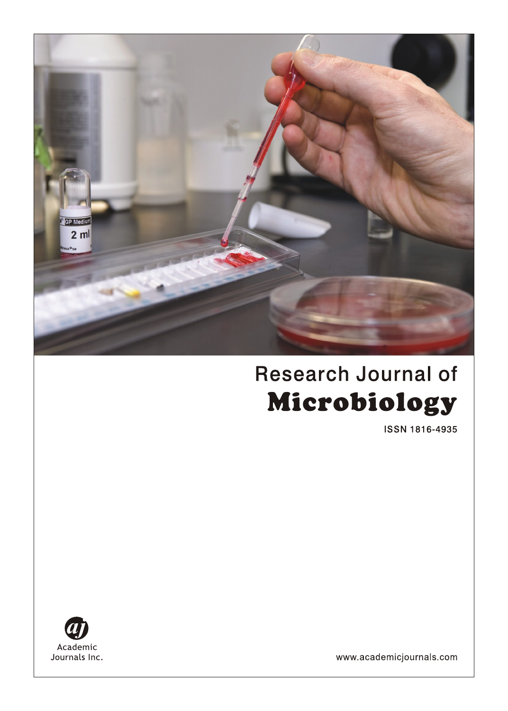

# **Research Journal of** Microbiology

ISSN 1816-4935



www.academicjournals.com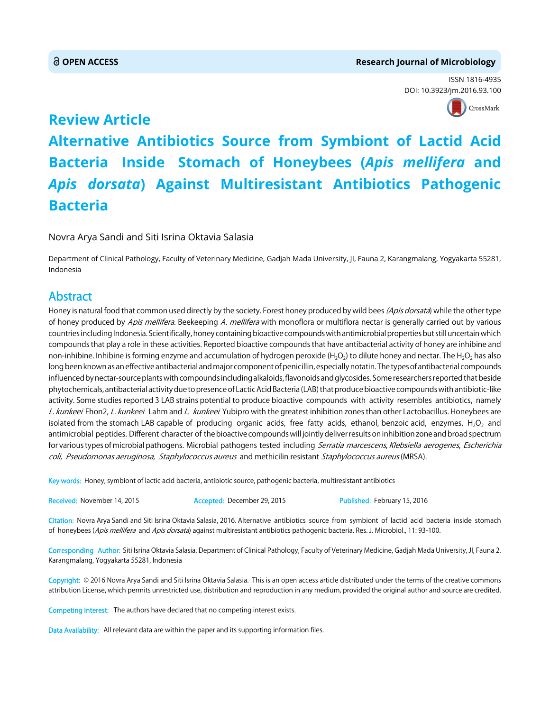#### **OPEN ACCESS Research Journal of Microbiology**

ISSN 1816-4935 DOI: 10.392[3/jm.2016.93.100](http://crossmark.crossref.org/dialog/?doi=10.3923/jm.2016.93.100&domain=pdf&date_stamp=2016-02-15)



## **Review Article Alternative Antibiotics Source from Symbiont of Lactid Acid Bacteria Inside Stomach of Honeybees (***Apis mellifera* **and** *Apis dorsata***) Against Multiresistant Antibiotics Pathogenic Bacteria**

Novra Arya Sandi and Siti Isrina Oktavia Salasia

Department of Clinical Pathology, Faculty of Veterinary Medicine, Gadjah Mada University, JI, Fauna 2, Karangmalang, Yogyakarta 55281, Indonesia

### Abstract

Honey is natural food that common used directly by the society. Forest honey produced by wild bees (Apis dorsata) while the other type of honey produced by Apis mellifera. Beekeeping A. mellifera with monoflora or multiflora nectar is generally carried out by various countries including Indonesia. Scientifically, honey containing bioactive compounds with antimicrobial properties but still uncertain which compounds that play a role in these activities. Reported bioactive compounds that have antibacterial activity of honey are inhibine and non-inhibine. Inhibine is forming enzyme and accumulation of hydrogen peroxide (H<sub>2</sub>O<sub>2</sub>) to dilute honey and nectar. The H<sub>2</sub>O<sub>2</sub> has also long been known as an effective antibacterial and major component of penicillin, especially notatin. The types of antibacterial compounds influenced by nectar-source plants with compounds including alkaloids, flavonoids and glycosides. Some researchers reported that beside phytochemicals, antibacterial activity due to presence of Lactic Acid Bacteria (LAB) that produce bioactive compounds with antibiotic-like activity. Some studies reported 3 LAB strains potential to produce bioactive compounds with activity resembles antibiotics, namely L. kunkeei Fhon2, L. kunkeei Lahm and L. kunkeei Yubipro with the greatest inhibition zones than other Lactobacillus. Honeybees are isolated from the stomach LAB capable of producing organic acids, free fatty acids, ethanol, benzoic acid, enzymes,  $H_2O_2$  and antimicrobial peptides. Different character of the bioactive compounds will jointly deliver results on inhibition zone and broad spectrum for various types of microbial pathogens. Microbial pathogens tested including Serratia marcescens, Klebsiella aerogenes, Escherichia coli, Pseudomonas aeruginosa, Staphylococcus aureus and methicilin resistant Staphylococcus aureus (MRSA).

Key words: Honey, symbiont of lactic acid bacteria, antibiotic source, pathogenic bacteria, multiresistant antibiotics

Received: November 14, 2015 **Accepted: December 29, 2015** Published: February 15, 2016

Citation: Novra Arya Sandi and Siti Isrina Oktavia Salasia, 2016. Alternative antibiotics source from symbiont of lactid acid bacteria inside stomach of honeybees (Apis mellifera and Apis dorsata) against multiresistant antibiotics pathogenic bacteria. Res. J. Microbiol., 11: 93-100.

Corresponding Author: Siti Isrina Oktavia Salasia, Department of Clinical Pathology, Faculty of Veterinary Medicine, Gadjah Mada University, JI, Fauna 2, Karangmalang, Yogyakarta 55281, Indonesia

Copyright: © 2016 Novra Arya Sandi and Siti Isrina Oktavia Salasia. This is an open access article distributed under the terms of the creative commons attribution License, which permits unrestricted use, distribution and reproduction in any medium, provided the original author and source are credited.

Competing Interest: The authors have declared that no competing interest exists.

Data Availability: All relevant data are within the paper and its supporting information files.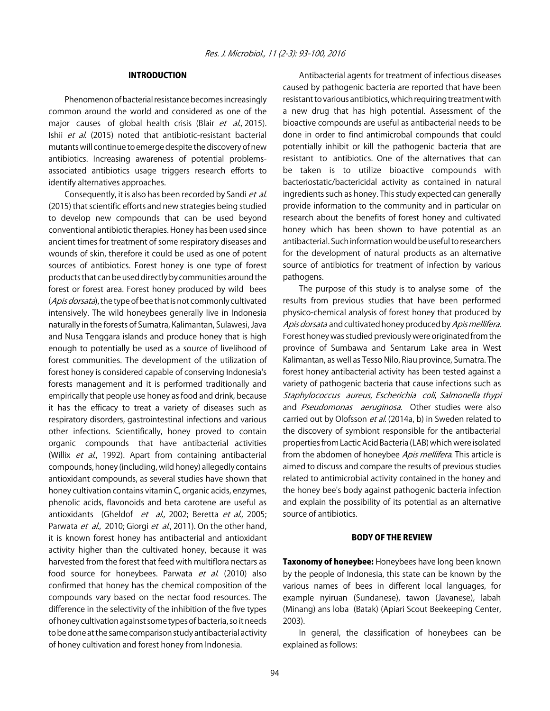#### INTRODUCTION

Phenomenon of bacterial resistance becomes increasingly common around the world and considered as one of the major causes of global health crisis (Blair et al., 2015). Ishii et al. (2015) noted that antibiotic-resistant bacterial mutants will continue to emerge despite the discovery of new antibiotics. Increasing awareness of potential problemsassociated antibiotics usage triggers research efforts to identify alternatives approaches.

Consequently, it is also has been recorded by Sandi et al. (2015) that scientific efforts and new strategies being studied to develop new compounds that can be used beyond conventional antibiotic therapies. Honey has been used since ancient times for treatment of some respiratory diseases and wounds of skin, therefore it could be used as one of potent sources of antibiotics. Forest honey is one type of forest products that can be used directly by communities around the forest or forest area. Forest honey produced by wild bees (Apis dorsata), the type of bee that is not commonly cultivated intensively. The wild honeybees generally live in Indonesia naturally in the forests of Sumatra, Kalimantan, Sulawesi, Java and Nusa Tenggara islands and produce honey that is high enough to potentially be used as a source of livelihood of forest communities. The development of the utilization of forest honey is considered capable of conserving Indonesia's forests management and it is performed traditionally and empirically that people use honey as food and drink, because it has the efficacy to treat a variety of diseases such as respiratory disorders, gastrointestinal infections and various other infections. Scientifically, honey proved to contain organic compounds that have antibacterial activities (Willix et al., 1992). Apart from containing antibacterial compounds, honey (including, wild honey) allegedly contains antioxidant compounds, as several studies have shown that honey cultivation contains vitamin C, organic acids, enzymes, phenolic acids, flavonoids and beta carotene are useful as antioxidants (Gheldof et al., 2002; Beretta et al., 2005; Parwata et al., 2010; Giorgi et al., 2011). On the other hand, it is known forest honey has antibacterial and antioxidant activity higher than the cultivated honey, because it was harvested from the forest that feed with multiflora nectars as food source for honeybees. Parwata et al. (2010) also confirmed that honey has the chemical composition of the compounds vary based on the nectar food resources. The difference in the selectivity of the inhibition of the five types of honey cultivation against some types of bacteria, so it needs to be done at the same comparison study antibacterial activity of honey cultivation and forest honey from Indonesia.

Antibacterial agents for treatment of infectious diseases caused by pathogenic bacteria are reported that have been resistant to various antibiotics, which requiring treatment with a new drug that has high potential. Assessment of the bioactive compounds are useful as antibacterial needs to be done in order to find antimicrobal compounds that could potentially inhibit or kill the pathogenic bacteria that are resistant to antibiotics. One of the alternatives that can be taken is to utilize bioactive compounds with bacteriostatic/bactericidal activity as contained in natural ingredients such as honey. This study expected can generally provide information to the community and in particular on research about the benefits of forest honey and cultivated honey which has been shown to have potential as an antibacterial. Such information would be useful to researchers for the development of natural products as an alternative source of antibiotics for treatment of infection by various pathogens.

The purpose of this study is to analyse some of the results from previous studies that have been performed physico-chemical analysis of forest honey that produced by Apis dorsata and cultivated honey produced by Apis mellifera. Forest honey was studied previously were originated from the province of Sumbawa and Sentarum Lake area in West Kalimantan, as well as Tesso Nilo, Riau province, Sumatra. The forest honey antibacterial activity has been tested against a variety of pathogenic bacteria that cause infections such as Staphylococcus aureus, Escherichia coli, Salmonella thypi and Pseudomonas aeruginosa. Other studies were also carried out by Olofsson et al. (2014a, b) in Sweden related to the discovery of symbiont responsible for the antibacterial properties from Lactic Acid Bacteria (LAB) which were isolated from the abdomen of honeybee Apis mellifera. This article is aimed to discuss and compare the results of previous studies related to antimicrobial activity contained in the honey and the honey bee's body against pathogenic bacteria infection and explain the possibility of its potential as an alternative source of antibiotics.

#### BODY OF THE REVIEW

Taxonomy of honeybee: Honeybees have long been known by the people of Indonesia, this state can be known by the various names of bees in different local languages, for example nyiruan (Sundanese), tawon (Javanese), labah (Minang) ans loba (Batak) (Apiari Scout Beekeeping Center, 2003).

In general, the classification of honeybees can be explained as follows: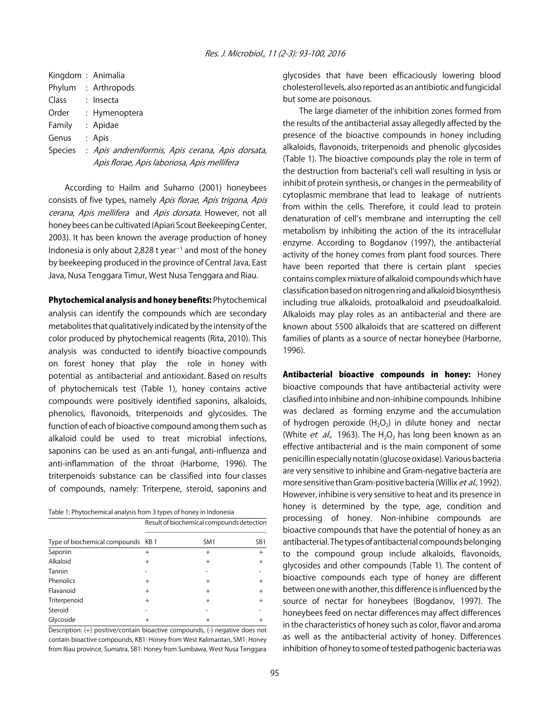| Kingdom: Animalia |                                                  |
|-------------------|--------------------------------------------------|
|                   | Phylum : Arthropods                              |
| Class             | : Insecta                                        |
| Order             | : Hymenoptera                                    |
| Family            | : Apidae                                         |
| Genus             | : Apis                                           |
| Species           | : Apis andreniformis, Apis cerana, Apis dorsata, |
|                   | Apis florae, Apis laboriosa, Apis mellifera      |

According to Hailm and Suharno (2001) honeybees consists of five types, namely Apis florae, Apis trigona, Apis cerana, Apis mellifera and Apis dorsata. However, not all honey bees can be cultivated (Apiari Scout Beekeeping Center, 2003). It has been known the average production of honey Indonesia is only about 2,828 t year<sup> $-1$ </sup> and most of the honey by beekeeping produced in the province of Central Java, East Java, Nusa Tenggara Timur, West Nusa Tenggara and Riau.

Phytochemical analysis and honey benefits: Phytochemical analysis can identify the compounds which are secondary metabolites that qualitatively indicated by the intensity of the color produced by phytochemical reagents (Rita, 2010). This analysis was conducted to identify bioactive compounds on forest honey that play the role in honey with potential as antibacterial and antioxidant. Based on results of phytochemicals test (Table 1), honey contains active compounds were positively identified saponins, alkaloids, phenolics, flavonoids, triterpenoids and glycosides. The function of each of bioactive compound among them such as alkaloid could be used to treat microbial infections, saponins can be used as an anti-fungal, anti-influenza and anti-inflammation of the throat (Harborne, 1996). The triterpenoids substance can be classified into four classes of compounds, namely: Triterpene, steroid, saponins and

| Table 1: Phytochemical analysis from 3 types of honey in Indonesia |  |  |
|--------------------------------------------------------------------|--|--|
|                                                                    |  |  |

|                                    | Result of biochemical compounds detection |                 |                 |  |  |  |
|------------------------------------|-------------------------------------------|-----------------|-----------------|--|--|--|
| Type of biochemical compounds KB 1 |                                           | SM <sub>1</sub> | SB <sub>1</sub> |  |  |  |
| Saponin                            | $^+$                                      | $^{+}$          | $^{+}$          |  |  |  |
| Alkaloid                           | $^{+}$                                    | $^{+}$          | $^{+}$          |  |  |  |
| Tannin                             |                                           |                 |                 |  |  |  |
| Phenolics                          | $^+$                                      | $^{+}$          |                 |  |  |  |
| Flavanoid                          | $^{+}$                                    | $^{+}$          |                 |  |  |  |
| Triterpenoid                       | $^{+}$                                    | $^{+}$          |                 |  |  |  |
| Steroid                            |                                           |                 |                 |  |  |  |
| Glycoside                          |                                           |                 |                 |  |  |  |

Description: (+) positive/contain bioactive compounds, (-) negative does not contain bioactive compounds, KB1: Honey from West Kalimantan, SM1: Honey from Riau province, Sumatra, SB1: Honey from Sumbawa, West Nusa Tenggara glycosides that have been efficaciously lowering blood cholesterol levels, also reported as an antibiotic and fungicidal but some are poisonous.

The large diameter of the inhibition zones formed from the results of the antibacterial assay allegedly affected by the presence of the bioactive compounds in honey including alkaloids, flavonoids, triterpenoids and phenolic glycosides (Table 1). The bioactive compounds play the role in term of the destruction from bacterial's cell wall resulting in lysis or inhibit of protein synthesis, or changes in the permeability of cytoplasmic membrane that lead to leakage of nutrients from within the cells. Therefore, it could lead to protein denaturation of cell's membrane and interrupting the cell metabolism by inhibiting the action of the its intracellular enzyme. According to Bogdanov (1997), the antibacterial activity of the honey comes from plant food sources. There have been reported that there is certain plant species contains complex mixture of alkaloid compounds which have classification based on nitrogen ring and alkaloid biosynthesis including true alkaloids, protoalkaloid and pseudoalkaloid. Alkaloids may play roles as an antibacterial and there are known about 5500 alkaloids that are scattered on different families of plants as a source of nectar honeybee (Harborne, 1996).

Antibacterial bioactive compounds in honey: Honey bioactive compounds that have antibacterial activity were clasified into inhibine and non-inhibine compounds. Inhibine was declared as forming enzyme and the accumulation of hydrogen peroxide  $(H_2O_2)$  in dilute honey and nectar (White *et al.*, 1963). The H<sub>2</sub>O<sub>2</sub> has long been known as an effective antibacterial and is the main component of some penicillin especially notatin (glucose oxidase). Various bacteria are very sensitive to inhibine and Gram-negative bacteria are more sensitive than Gram-positive bacteria (Willix et al., 1992). However, inhibine is very sensitive to heat and its presence in honey is determined by the type, age, condition and processing of honey. Non-inhibine compounds are bioactive compounds that have the potential of honey as an antibacterial. The types of antibacterial compounds belonging to the compound group include alkaloids, flavonoids, glycosides and other compounds (Table 1). The content of bioactive compounds each type of honey are different between one with another, this difference is influenced by the source of nectar for honeybees (Bogdanov, 1997). The honeybees feed on nectar differences may affect differences in the characteristics of honey such as color, flavor and aroma as well as the antibacterial activity of honey. Differences inhibition of honey to some of tested pathogenic bacteria was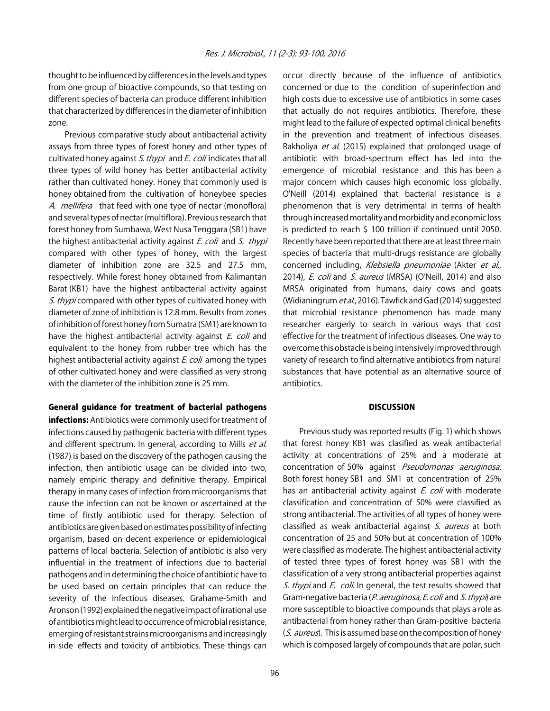thought to be influenced by differences in the levels and types from one group of bioactive compounds, so that testing on different species of bacteria can produce different inhibition that characterized by differences in the diameter of inhibition zone.

Previous comparative study about antibacterial activity assays from three types of forest honey and other types of cultivated honey against *S. thypi* and *E. coli* indicates that all three types of wild honey has better antibacterial activity rather than cultivated honey. Honey that commonly used is honey obtained from the cultivation of honeybee species A. mellifera that feed with one type of nectar (monoflora) and several types of nectar (multiflora). Previous research that forest honey from Sumbawa, West Nusa Tenggara (SB1) have the highest antibacterial activity against E. coli and S. thypi compared with other types of honey, with the largest diameter of inhibition zone are 32.5 and 27.5 mm, respectively. While forest honey obtained from Kalimantan Barat (KB1) have the highest antibacterial activity against S. thypi compared with other types of cultivated honey with diameter of zone of inhibition is 12.8 mm. Results from zones of inhibition of forest honey from Sumatra (SM1) are known to have the highest antibacterial activity against E. coli and equivalent to the honey from rubber tree which has the highest antibacterial activity against E. coli among the types of other cultivated honey and were classified as very strong with the diameter of the inhibition zone is 25 mm.

#### General guidance for treatment of bacterial pathogens

infections: Antibiotics were commonly used for treatment of infections caused by pathogenic bacteria with different types and different spectrum. In general, according to Mills et al. (1987) is based on the discovery of the pathogen causing the infection, then antibiotic usage can be divided into two, namely empiric therapy and definitive therapy. Empirical therapy in many cases of infection from microorganisms that cause the infection can not be known or ascertained at the time of firstly antibiotic used for therapy. Selection of antibiotics are given based on estimates possibility of infecting organism, based on decent experience or epidemiological patterns of local bacteria. Selection of antibiotic is also very influential in the treatment of infections due to bacterial pathogens and in determining the choice of antibiotic have to be used based on certain principles that can reduce the severity of the infectious diseases. Grahame-Smith and Aronson (1992) explained the negative impact of irrational use of antibiotics might lead to occurrence of microbial resistance, emerging of resistant strains microorganisms and increasingly in side effects and toxicity of antibiotics. These things can

high costs due to excessive use of antibiotics in some cases that actually do not requires antibiotics. Therefore, these might lead to the failure of expected optimal clinical benefits in the prevention and treatment of infectious diseases. Rakholiya *et al.* (2015) explained that prolonged usage of antibiotic with broad-spectrum effect has led into the emergence of microbial resistance and this has been a major concern which causes high economic loss globally. O'Neill (2014) explained that bacterial resistance is a phenomenon that is very detrimental in terms of health through increased mortality and morbidity and economic loss is predicted to reach \$ 100 trillion if continued until 2050. Recently have been reported that there are at least three main species of bacteria that multi-drugs resistance are globally concerned including, Klebsiella pneumoniae (Akter et al., 2014), E. coli and S. aureus (MRSA) (O'Neill, 2014) and also MRSA originated from humans, dairy cows and goats (Widianingrum et al., 2016). Tawfick and Gad (2014) suggested that microbial resistance phenomenon has made many researcher eargerly to search in various ways that cost effective for the treatment of infectious diseases. One way to overcome this obstacle is being intensively improved through variety of research to find alternative antibiotics from natural substances that have potential as an alternative source of antibiotics.

occur directly because of the influence of antibiotics concerned or due to the condition of superinfection and

#### **DISCUSSION**

Previous study was reported results (Fig. 1) which shows that forest honey KB1 was clasified as weak antibacterial activity at concentrations of 25% and a moderate at concentration of 50% against Pseudomonas aeruginosa. Both forest honey SB1 and SM1 at concentration of 25% has an antibacterial activity against *E. coli* with moderate classification and concentration of 50% were classified as strong antibacterial. The activities of all types of honey were classified as weak antibacterial against S. aureus at both concentration of 25 and 50% but at concentration of 100% were classified as moderate. The highest antibacterial activity of tested three types of forest honey was SB1 with the classification of a very strong antibacterial properties against S. thypi and E. coli. In general, the test results showed that Gram-negative bacteria (P. aeruginosa, E. coli and S. thypi) are more susceptible to bioactive compounds that plays a role as antibacterial from honey rather than Gram-positive bacteria (S. aureus). This is assumed base on the composition of honey which is composed largely of compounds that are polar, such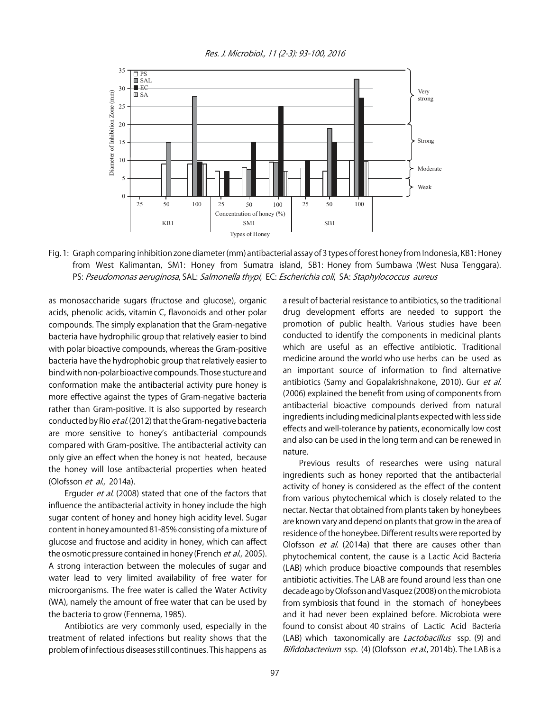Res. J. Microbiol., 11 (2-3): 93-100, 2016



Fig. 1: Graph comparing inhibition zone diameter (mm) antibacterial assay of 3 types of forest honey from Indonesia, KB1: Honey from West Kalimantan, SM1: Honey from Sumatra island, SB1: Honey from Sumbawa (West Nusa Tenggara). PS: Pseudomonas aeruginosa, SAL: Salmonella thypi, EC: Escherichia coli, SA: Staphylococcus aureus

as monosaccharide sugars (fructose and glucose), organic acids, phenolic acids, vitamin C, flavonoids and other polar compounds. The simply explanation that the Gram-negative bacteria have hydrophilic group that relatively easier to bind with polar bioactive compounds, whereas the Gram-positive bacteria have the hydrophobic group that relatively easier to bind with non-polar bioactive compounds. Those stucture and conformation make the antibacterial activity pure honey is more effective against the types of Gram-negative bacteria rather than Gram-positive. It is also supported by research conducted by Rio et al. (2012) that the Gram-negative bacteria are more sensitive to honey's antibacterial compounds compared with Gram-positive. The antibacterial activity can only give an effect when the honey is not heated, because the honey will lose antibacterial properties when heated (Olofsson et al., 2014a).

Erguder et al. (2008) stated that one of the factors that influence the antibacterial activity in honey include the high sugar content of honey and honey high acidity level. Sugar content in honey amounted 81-85% consisting of a mixture of glucose and fructose and acidity in honey, which can affect the osmotic pressure contained in honey (French et al., 2005). A strong interaction between the molecules of sugar and water lead to very limited availability of free water for microorganisms. The free water is called the Water Activity (WA), namely the amount of free water that can be used by the bacteria to grow (Fennema, 1985).

Antibiotics are very commonly used, especially in the treatment of related infections but reality shows that the problem of infectious diseases still continues. This happens as a result of bacterial resistance to antibiotics, so the traditional drug development efforts are needed to support the promotion of public health. Various studies have been conducted to identify the components in medicinal plants which are useful as an effective antibiotic. Traditional medicine around the world who use herbs can be used as an important source of information to find alternative antibiotics (Samy and Gopalakrishnakone, 2010). Gur et al. (2006) explained the benefit from using of components from antibacterial bioactive compounds derived from natural ingredients including medicinal plants expected with less side effects and well-tolerance by patients, economically low cost and also can be used in the long term and can be renewed in nature.

Previous results of researches were using natural ingredients such as honey reported that the antibacterial activity of honey is considered as the effect of the content from various phytochemical which is closely related to the nectar. Nectar that obtained from plants taken by honeybees are known vary and depend on plants that grow in the area of residence of the honeybee. Different results were reported by Olofsson et al. (2014a) that there are causes other than phytochemical content, the cause is a Lactic Acid Bacteria (LAB) which produce bioactive compounds that resembles antibiotic activities. The LAB are found around less than one decade ago by Olofsson and Vasquez (2008) on the microbiota from symbiosis that found in the stomach of honeybees and it had never been explained before. Microbiota were found to consist about 40 strains of Lactic Acid Bacteria (LAB) which taxonomically are *Lactobacillus* ssp. (9) and Bifidobacterium ssp. (4) (Olofsson et al., 2014b). The LAB is a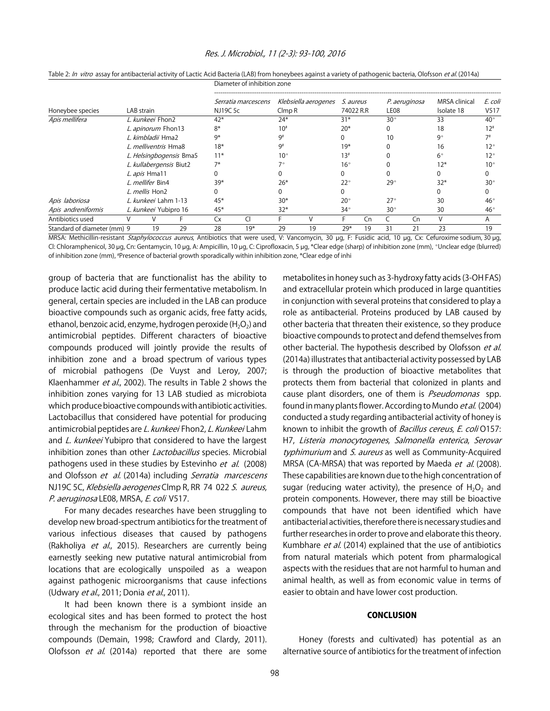#### Res. J. Microbiol., 11 (2-3): 93-100, 2016

|                             |                                         |                         |                         | בווטבוניכנט טו וווווואוטו בטווכ |       |                                   |    |                                                 |    |                       |    |                                     |                                                              |
|-----------------------------|-----------------------------------------|-------------------------|-------------------------|---------------------------------|-------|-----------------------------------|----|-------------------------------------------------|----|-----------------------|----|-------------------------------------|--------------------------------------------------------------|
| Honeybee species            | LAB strain                              |                         |                         | Serratia marcescens<br>NJ19C 5c |       | Klebsiella aerogenes<br>Clmp R    |    | S. aureus<br>74022 R.R                          |    | P. aeruginosa<br>LE08 |    | <b>MRSA</b> clinical<br>Isolate 18  | E. coli<br>V517                                              |
| Apis mellifera              | L. kunkeei Fhon2                        |                         |                         | $42*$                           |       | $24*$                             |    | $31*$                                           |    | $30^{\circ}$          |    | 33                                  | $40^{\circ}$                                                 |
|                             | L. apinorum Fhon13<br>L. kimbladii Hma2 |                         |                         | $8*$<br>9*                      |       | $10^{#}$<br>9#                    |    | $20*$                                           |    | 0                     |    | 18                                  | $12^*$                                                       |
|                             |                                         |                         |                         |                                 |       |                                   |    |                                                 |    | 10                    |    | ٩°                                  |                                                              |
|                             |                                         | L. melliventris Hma8    |                         | $18*$<br>$11*$<br>$7*$<br>$39*$ |       | 9#<br>$10^{\circ}$<br>70<br>$26*$ |    | $19*$<br>$13^*$<br>$16^{\circ}$<br>$22^{\circ}$ |    | $29^\circ$            |    | 16<br>$6^{\circ}$<br>$12*$<br>$32*$ | $12^{\circ}$<br>$12^{\circ}$<br>$10^{\circ}$<br>$30^{\circ}$ |
|                             |                                         |                         | L. Helsingbogensis Bma5 |                                 |       |                                   |    |                                                 |    |                       |    |                                     |                                                              |
|                             |                                         | L. kullabergensis Biut2 |                         |                                 |       |                                   |    |                                                 |    |                       |    |                                     |                                                              |
|                             |                                         | L. apis Hma11           |                         |                                 |       |                                   |    |                                                 |    |                       |    |                                     |                                                              |
|                             |                                         | L. mellifer Bin4        |                         |                                 |       |                                   |    |                                                 |    |                       |    |                                     |                                                              |
|                             | L. mellis Hon2                          |                         |                         | 0                               |       |                                   |    |                                                 |    |                       |    |                                     |                                                              |
| Apis laboriosa              |                                         | L. kunkeei Lahm 1-13    |                         | 45*                             |       | $30*$                             |    | $20^{\circ}$                                    |    | $27^{\circ}$          |    | 30                                  | $46^{\circ}$                                                 |
| Apis andreniformis          | L. kunkeei Yubipro 16                   |                         |                         | $45*$                           |       | $32*$                             |    | $34^\circ$                                      |    | $30^{\circ}$          |    | 30                                  | $46^{\circ}$                                                 |
| Antibiotics used            |                                         |                         |                         | Сx                              | u     |                                   |    |                                                 | Cn |                       | Cn | $\vee$                              | A                                                            |
| Standard of diameter (mm) 9 |                                         | 19                      | 29                      | 28                              | $19*$ | 29                                | 19 | 29*                                             | 19 | 31                    | 21 | 23                                  | 19                                                           |

Table 2: In vitro assay for antibacterial activity of Lactic Acid Bacteria (LAB) from honeybees against a variety of pathogenic bacteria, Olofsson et al. (2014a) Diameter of inhibition zone

MRSA: Methicillin-resistant Staphylococcus aureus, Antibiotics that were used, V: Vancomycin, 30 µg, F: Fusidic acid, 10 µg, Cx: Cefuroxime sodium, 30 µg, Cl: Chloramphenicol, 30 µg, Cn: Gentamycin, 10 µg, A: Ampicillin, 10 µg, C: Ciprofloxacin, 5 µg, \*Clear edge (sharp) of inhibition zone (mm), °Unclear edge (blurred) of inhibition zone (mm), # Presence of bacterial growth sporadically within inhibition zone, \*Clear edge of inhi

group of bacteria that are functionalist has the ability to produce lactic acid during their fermentative metabolism. In general, certain species are included in the LAB can produce bioactive compounds such as organic acids, free fatty acids, ethanol, benzoic acid, enzyme, hydrogen peroxide  $(H_2O_2)$  and antimicrobial peptides. Different characters of bioactive compounds produced will jointly provide the results of inhibition zone and a broad spectrum of various types of microbial pathogens (De Vuyst and Leroy, 2007; Klaenhammer et al., 2002). The results in Table 2 shows the inhibition zones varying for 13 LAB studied as microbiota which produce bioactive compounds with antibiotic activities. Lactobacillus that considered have potential for producing antimicrobial peptides are L. kunkeei Fhon2, L. Kunkeei Lahm and L. kunkeei Yubipro that considered to have the largest inhibition zones than other *Lactobacillus* species. Microbial pathogens used in these studies by Estevinho et al. (2008) and Olofsson et al. (2014a) including Serratia marcescens NJ19C 5C, Klebsiella aerogenes Clmp R, RR 74 022 S. aureus, P. aeruginosa LE08, MRSA, E. coli V517.

For many decades researches have been struggling to develop new broad-spectrum antibiotics for the treatment of various infectious diseases that caused by pathogens (Rakholiya et al., 2015). Researchers are currently being earnestly seeking new putative natural antimicrobial from locations that are ecologically unspoiled as a weapon against pathogenic microorganisms that cause infections (Udwary et al., 2011; Donia et al., 2011).

It had been known there is a symbiont inside an ecological sites and has been formed to protect the host through the mechanism for the production of bioactive compounds (Demain, 1998; Crawford and Clardy, 2011). Olofsson et al. (2014a) reported that there are some

metabolites in honey such as 3-hydroxy fatty acids (3-OH FAS) and extracellular protein which produced in large quantities in conjunction with several proteins that considered to play a role as antibacterial. Proteins produced by LAB caused by other bacteria that threaten their existence, so they produce bioactive compounds to protect and defend themselves from other bacterial. The hypothesis described by Olofsson et al. (2014a) illustrates that antibacterial activity possessed by LAB is through the production of bioactive metabolites that protects them from bacterial that colonized in plants and cause plant disorders, one of them is *Pseudomonas* spp. found in many plants flower. According to Mundo et al. (2004) conducted a study regarding antibacterial activity of honey is known to inhibit the growth of *Bacillus cereus, E. coli* 0157: H7, Listeria monocytogenes, Salmonella enterica, Serovar typhimurium and S. aureus as well as Community-Acquired MRSA (CA-MRSA) that was reported by Maeda et al. (2008). These capabilities are known due to the high concentration of sugar (reducing water activity), the presence of  $H_2O_2$  and protein components. However, there may still be bioactive compounds that have not been identified which have antibacterial activities, therefore there is necessary studies and further researches in order to prove and elaborate this theory. Kumbhare et al. (2014) explained that the use of antibiotics from natural materials which potent from pharmalogical aspects with the residues that are not harmful to human and animal health, as well as from economic value in terms of easier to obtain and have lower cost production.

#### **CONCLUSION**

Honey (forests and cultivated) has potential as an alternative source of antibiotics for the treatment of infection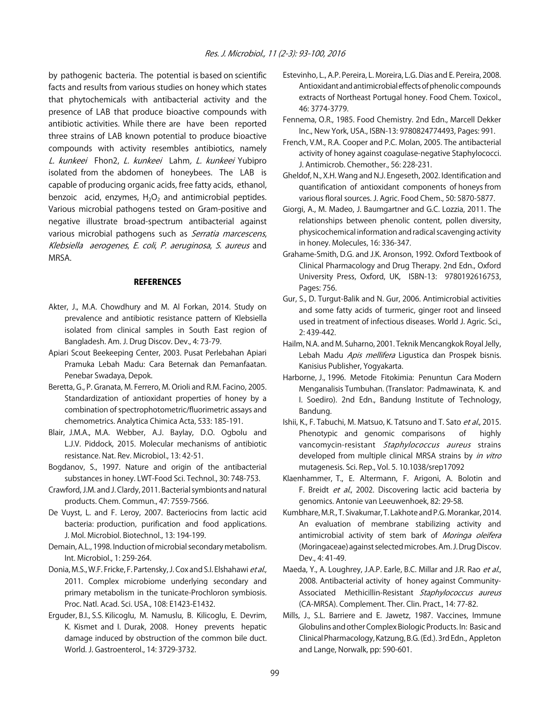by pathogenic bacteria. The potential is based on scientific facts and results from various studies on honey which states that phytochemicals with antibacterial activity and the presence of LAB that produce bioactive compounds with antibiotic activities. While there are have been reported three strains of LAB known potential to produce bioactive compounds with activity resembles antibiotics, namely L. kunkeei Fhon2, L. kunkeei Lahm, L. kunkeei Yubipro isolated from the abdomen of honeybees. The LAB is capable of producing organic acids, free fatty acids, ethanol, benzoic acid, enzymes,  $H_2O_2$  and antimicrobial peptides. Various microbial pathogens tested on Gram-positive and negative illustrate broad-spectrum antibacterial against various microbial pathogens such as Serratia marcescens, Klebsiella aerogenes, E. coli, P. aeruginosa, S. aureus and MRSA.

#### **REFERENCES**

- Akter, J., M.A. Chowdhury and M. Al Forkan, 2014. Study on prevalence and antibiotic resistance pattern of Klebsiella isolated from clinical samples in South East region of Bangladesh. Am. J. Drug Discov. Dev., 4: 73-79.
- Apiari Scout Beekeeping Center, 2003. Pusat Perlebahan Apiari Pramuka Lebah Madu: Cara Beternak dan Pemanfaatan. Penebar Swadaya, Depok.
- Beretta, G., P. Granata, M. Ferrero, M. Orioli and R.M. Facino, 2005. Standardization of antioxidant properties of honey by a combination of spectrophotometric/fluorimetric assays and chemometrics. Analytica Chimica Acta, 533: 185-191.
- Blair, J.M.A., M.A. Webber, A.J. Baylay, D.O. Ogbolu and L.J.V. Piddock, 2015. Molecular mechanisms of antibiotic resistance. Nat. Rev. Microbiol., 13: 42-51.
- Bogdanov, S., 1997. Nature and origin of the antibacterial substances in honey. LWT-Food Sci. Technol., 30: 748-753.
- Crawford, J.M. and J. Clardy, 2011. Bacterial symbionts and natural products. Chem. Commun., 47: 7559-7566.
- De Vuyst, L. and F. Leroy, 2007. Bacteriocins from lactic acid bacteria: production, purification and food applications. J. Mol. Microbiol. Biotechnol., 13: 194-199.
- Demain, A.L., 1998. Induction of microbial secondary metabolism. Int. Microbiol., 1: 259-264.
- Donia, M.S., W.F. Fricke, F. Partensky, J. Cox and S.I. Elshahawi et al., 2011. Complex microbiome underlying secondary and primary metabolism in the tunicate-Prochloron symbiosis. Proc. Natl. Acad. Sci. USA., 108: E1423-E1432.
- Erguder, B.I., S.S. Kilicoglu, M. Namuslu, B. Kilicoglu, E. Devrim, K. Kismet and I. Durak, 2008. Honey prevents hepatic damage induced by obstruction of the common bile duct. World. J. Gastroenterol., 14: 3729-3732.
- Estevinho, L., A.P. Pereira, L. Moreira, L.G. Dias and E. Pereira, 2008. Antioxidant and antimicrobial effects of phenolic compounds extracts of Northeast Portugal honey. Food Chem. Toxicol., 46: 3774-3779.
- Fennema, O.R., 1985. Food Chemistry. 2nd Edn., Marcell Dekker Inc., New York, USA., ISBN-13: 9780824774493, Pages: 991.
- French, V.M., R.A. Cooper and P.C. Molan, 2005. The antibacterial activity of honey against coagulase-negative Staphylococci. J. Antimicrob. Chemother., 56: 228-231.
- Gheldof, N., X.H. Wang and N.J. Engeseth, 2002. Identification and quantification of antioxidant components of honeys from various floral sources. J. Agric. Food Chem., 50: 5870-5877.
- Giorgi, A., M. Madeo, J. Baumgartner and G.C. Lozzia, 2011. The relationships between phenolic content, pollen diversity, physicochemical information and radical scavenging activity in honey. Molecules, 16: 336-347.
- Grahame-Smith, D.G. and J.K. Aronson, 1992. Oxford Textbook of Clinical Pharmacology and Drug Therapy. 2nd Edn., Oxford University Press, Oxford, UK, ISBN-13: 9780192616753, Pages: 756.
- Gur, S., D. Turgut-Balik and N. Gur, 2006. Antimicrobial activities and some fatty acids of turmeric, ginger root and linseed used in treatment of infectious diseases. World J. Agric. Sci., 2: 439-442.
- Hailm, N.A. and M. Suharno, 2001. Teknik Mencangkok Royal Jelly, Lebah Madu Apis mellifera Ligustica dan Prospek bisnis. Kanisius Publisher, Yogyakarta.
- Harborne, J., 1996. Metode Fitokimia: Penuntun Cara Modern Menganalisis Tumbuhan. (Translator: Padmawinata, K. and I. Soediro). 2nd Edn., Bandung Institute of Technology, Bandung.
- Ishii, K., F. Tabuchi, M. Matsuo, K. Tatsuno and T. Sato et al., 2015. Phenotypic and genomic comparisons of highly vancomycin-resistant Staphylococcus aureus strains developed from multiple clinical MRSA strains by in vitro mutagenesis. Sci. Rep., Vol. 5. 10.1038/srep17092
- Klaenhammer, T., E. Altermann, F. Arigoni, A. Bolotin and F. Breidt et al., 2002. Discovering lactic acid bacteria by genomics. Antonie van Leeuwenhoek, 82: 29-58.
- Kumbhare, M.R., T. Sivakumar, T. Lakhote and P.G. Morankar, 2014. An evaluation of membrane stabilizing activity and antimicrobial activity of stem bark of Moringa oleifera (Moringaceae) against selected microbes. Am. J. Drug Discov. Dev., 4: 41-49.
- Maeda, Y., A. Loughrey, J.A.P. Earle, B.C. Millar and J.R. Rao et al., 2008. Antibacterial activity of honey against Community-Associated Methicillin-Resistant Staphylococcus aureus (CA-MRSA). Complement. Ther. Clin. Pract., 14: 77-82.
- Mills, J., S.L. Barriere and E. Jawetz, 1987. Vaccines, Immune Globulins and other Complex Biologic Products. In: Basic and Clinical Pharmacology, Katzung, B.G. (Ed.). 3rd Edn., Appleton and Lange, Norwalk, pp: 590-601.